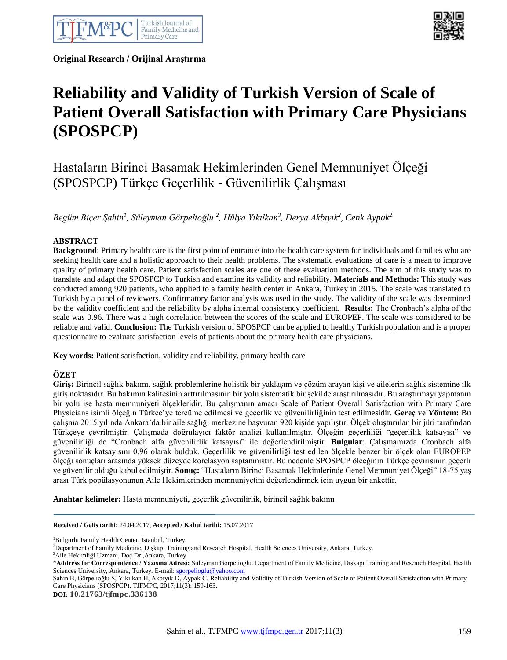

**Original Research / Orijinal Araştırma** 



# **Reliability and Validity of Turkish Version of Scale of Patient Overall Satisfaction with Primary Care Physicians (SPOSPCP)**

## Hastaların Birinci Basamak Hekimlerinden Genel Memnuniyet Ölçeği (SPOSPCP) Türkçe Geçerlilik - Güvenilirlik Çalışması

*Begüm Biçer Şahin<sup>1</sup> , Süleyman Görpelioğlu <sup>2</sup> , Hülya Yıkılkan<sup>3</sup> , Derya Akbıyık<sup>2</sup> , Cenk Aypak<sup>2</sup>*

#### **ABSTRACT**

**Background**: Primary health care is the first point of entrance into the health care system for individuals and families who are seeking health care and a holistic approach to their health problems. The systematic evaluations of care is a mean to improve quality of primary health care. Patient satisfaction scales are one of these evaluation methods. The aim of this study was to translate and adapt the SPOSPCP to Turkish and examine its validity and reliability. **Materials and Methods:** This study was conducted among 920 patients, who applied to a family health center in Ankara, Turkey in 2015. The scale was translated to Turkish by a panel of reviewers. Confirmatory factor analysis was used in the study. The validity of the scale was determined by the validity coefficient and the reliability by alpha internal consistency coefficient. **Results:** The Cronbach's alpha of the scale was 0.96. There was a high correlation between the scores of the scale and EUROPEP. The scale was considered to be reliable and valid. **Conclusion:** The Turkish version of SPOSPCP can be applied to healthy Turkish population and is a proper questionnaire to evaluate satisfaction levels of patients about the primary health care physicians.

**Key words:** Patient satisfaction, validity and reliability, primary health care

#### **ÖZET**

**Giriş:** Birincil sağlık bakımı, sağlık problemlerine holistik bir yaklaşım ve çözüm arayan kişi ve ailelerin sağlık sistemine ilk giriş noktasıdır. Bu bakımın kalitesinin arttırılmasının bir yolu sistematik bir şekilde araştırılmasıdır. Bu araştırmayı yapmanın bir yolu ise hasta memnuniyeti ölçekleridir. Bu çalışmanın amacı Scale of Patient Overall Satisfaction with Primary Care Physicians isimli ölçeğin Türkçe'ye tercüme edilmesi ve geçerlik ve güvenilirliğinin test edilmesidir. **Gereç ve Yöntem:** Bu çalışma 2015 yılında Ankara'da bir aile sağlığı merkezine başvuran 920 kişide yapılıştır. Ölçek oluşturulan bir jüri tarafından Türkçeye çevrilmiştir. Çalışmada doğrulayıcı faktör analizi kullanılmıştır. Ölçeğin geçerliliği "geçerlilik katsayısı" ve güvenilirliği de "Cronbach alfa güvenilirlik katsayısı" ile değerlendirilmiştir. **Bulgular**: Çalışmamızda Cronbach alfa güvenilirlik katsayısını 0,96 olarak bulduk. Geçerlilik ve güvenilirliği test edilen ölçekle benzer bir ölçek olan EUROPEP ölçeği sonuçları arasında yüksek düzeyde korelasyon saptanmıştır. Bu nedenle SPOSPCP ölçeğinin Türkçe çevirisinin geçerli ve güvenilir olduğu kabul edilmiştir. **Sonuç:** "Hastaların Birinci Basamak Hekimlerinde Genel Memnuniyet Ölçeği" 18-75 yaş arası Türk popülasyonunun Aile Hekimlerinden memnuniyetini değerlendirmek için uygun bir ankettir.

**Anahtar kelimeler:** Hasta memnuniyeti, geçerlik güvenilirlik, birincil sağlık bakımı

**Received / Geliş tarihi:** 24.04.2017, **Accepted / Kabul tarihi:** 15.07.2017

<sup>1</sup>Bulgurlu Family Health Center, Istanbul, Turkey.

<sup>3</sup>Aile Hekimliği Uzmanı, Doç.Dr.,Ankara, Turkey

Şahin B, Görpelioğlu S, Yıkılkan H, Akbıyık D, Aypak C. Reliability and Validity of Turkish Version of Scale of Patient Overall Satisfaction with Primary Care Physicians (SPOSPCP). TJFMPC, 2017;11(3): 159-163.

**DOI: 10.21763/tjfmpc.336138**

<sup>2</sup>Department of Family Medicine, Dışkapı Training and Research Hospital, Health Sciences University, Ankara, Turkey.

<sup>\*</sup>**Address for Correspondence / Yazışma Adresi:** Süleyman Görpelioğlu. Department of Family Medicine, Dışkapı Training and Research Hospital, Health Sciences University, Ankara, Turkey. E-mail: [sgorpelioglu@yahoo.com](mailto:sgorpelioglu@yahoo.com)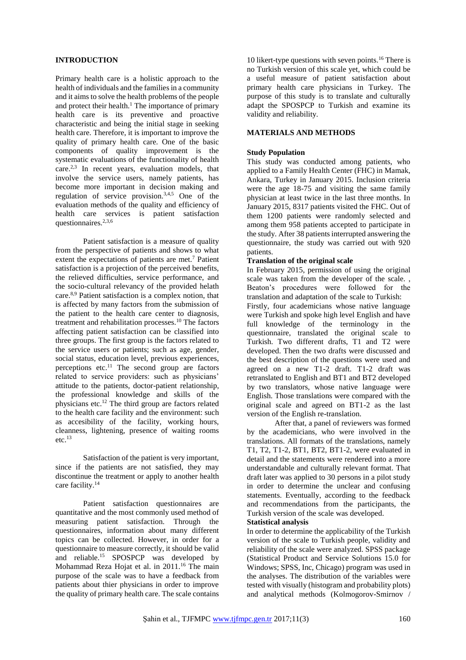#### **INTRODUCTION**

Primary health care is a holistic approach to the health of individuals and the families in a community and it aims to solve the health problems of the people and protect their health.<sup>1</sup> The importance of primary health care is its preventive and proactive characteristic and being the initial stage in seeking health care. Therefore, it is important to improve the quality of primary health care. One of the basic components of quality improvement is the systematic evaluations of the functionality of health care.2,3 In recent years, evaluation models, that involve the service users, namely patients, has become more important in decision making and regulation of service provision.<sup>3,4,5</sup> One of the evaluation methods of the quality and efficiency of health care services is patient satisfaction questionnaires.2,3,6

Patient satisfaction is a measure of quality from the perspective of patients and shows to what extent the expectations of patients are met.<sup>7</sup> Patient satisfaction is a projection of the perceived benefits, the relieved difficulties, service performance, and the socio-cultural relevancy of the provided helath care.8,9 Patient satisfaction is a complex notion, that is affected by many factors from the submission of the patient to the health care center to diagnosis, treatment and rehabilitation processes.<sup>10</sup> The factors affecting patient satisfaction can be classified into three groups. The first group is the factors related to the service users or patients; such as age, gender, social status, education level, previous experiences, perceptions etc. $^{11}$  The second group are factors related to service providers: such as physicians' attitude to the patients, doctor-patient relationship, the professional knowledge and skills of the physicians etc.<sup>12</sup> The third group are factors related to the health care facility and the environment: such as accesibility of the facility, working hours, cleanness, lightening, presence of waiting rooms  $etc.<sup>13</sup>$ 

Satisfaction of the patient is very important, since if the patients are not satisfied, they may discontinue the treatment or apply to another health care facility.<sup>14</sup>

Patient satisfaction questionnaires are quantitative and the most commonly used method of measuring patient satisfaction. Through the questionnaires, information about many different topics can be collected. However, in order for a questionnaire to measure correctly, it should be valid and reliable.<sup>15</sup> SPOSPCP was developed by Mohammad Reza Hojat et al. in 2011.<sup>16</sup> The main purpose of the scale was to have a feedback from patients about thier physicians in order to improve the quality of primary health care. The scale contains

10 likert-type questions with seven points.<sup>16</sup> There is no Turkish version of this scale yet, which could be a useful measure of patient satisfaction about primary health care physicians in Turkey. The purpose of this study is to translate and culturally adapt the SPOSPCP to Turkish and examine its validity and reliability.

### **MATERIALS AND METHODS**

#### **Study Population**

This study was conducted among patients, who applied to a Family Health Center (FHC) in Mamak, Ankara, Turkey in January 2015. Inclusion criteria were the age 18-75 and visiting the same family physician at least twice in the last three months. In January 2015, 8317 patients visited the FHC. Out of them 1200 patients were randomly selected and among them 958 patients accepted to participate in the study. After 38 patients interrupted answering the questionnaire, the study was carried out with 920 patients.

#### **Translation of the original scale**

In February 2015, permission of using the original scale was taken from the developer of the scale. , Beaton's procedures were followed for the translation and adaptation of the scale to Turkish: Firstly, four academicians whose native language were Turkish and spoke high level English and have

full knowledge of the terminology in the questionnaire, translated the original scale to Turkish. Two different drafts, T1 and T2 were developed. Then the two drafts were discussed and the best description of the questions were used and agreed on a new T1-2 draft. T1-2 draft was retranslated to English and BT1 and BT2 developed by two translators, whose native language were English. Those translations were compared with the original scale and agreed on BT1-2 as the last version of the English re-translation.

After that, a panel of reviewers was formed by the academicians, who were involved in the translations. All formats of the translations, namely T1, T2, T1-2, BT1, BT2, BT1-2, were evaluated in detail and the statements were rendered into a more understandable and culturally relevant format. That draft later was applied to 30 persons in a pilot study in order to determine the unclear and confusing statements. Eventually, according to the feedback and recommendations from the participants, the Turkish version of the scale was developed.

#### **Statistical analysis**

In order to determine the applicability of the Turkish version of the scale to Turkish people, validity and reliability of the scale were analyzed. SPSS package (Statistical Product and Service Solutions 15.0 for Windows; SPSS, Inc, Chicago) program was used in the analyses. The distribution of the variables were tested with visually (histogram and probability plots) and analytical methods (Kolmogorov-Smirnov /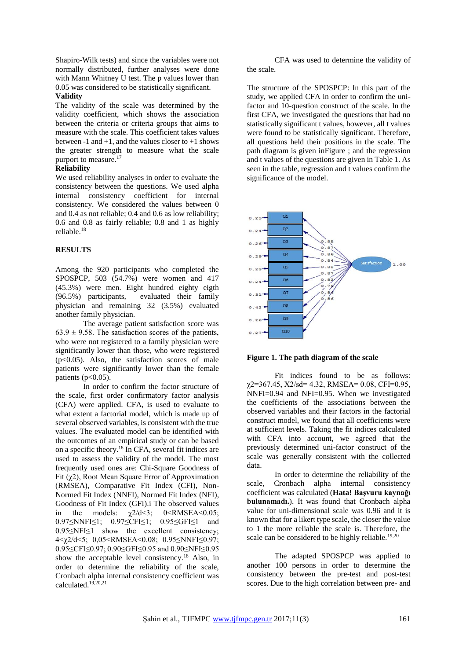Shapiro-Wilk tests) and since the variables were not normally distributed, further analyses were done with Mann Whitney U test. The p values lower than 0.05 was considered to be statistically significant. **Validity**

The validity of the scale was determined by the validity coefficient, which shows the association between the criteria or criteria groups that aims to measure with the scale. This coefficient takes values between  $-1$  and  $+1$ , and the values closer to  $+1$  shows the greater strength to measure what the scale purport to measure.<sup>17</sup>

#### **Reliability**

We used reliability analyses in order to evaluate the consistency between the questions. We used alpha internal consistency coefficient for internal consistency. We considered the values between 0 and 0.4 as not reliable; 0.4 and 0.6 as low reliability; 0.6 and 0.8 as fairly reliable; 0.8 and 1 as highly reliable.<sup>18</sup>

#### **RESULTS**

Among the 920 participants who completed the SPOSPCP, 503 (54.7%) were women and 417 (45.3%) were men. Eight hundred eighty eigth (96.5%) participants, evaluated their family physician and remaining 32 (3.5%) evaluated another family physician.

The average patient satisfaction score was  $63.9 \pm 9.58$ . The satisfaction scores of the patients, who were not registered to a family physician were significantly lower than those, who were registered  $(p<0.05)$ . Also, the satisfaction scores of male patients were significantly lower than the female patients ( $p<0.05$ ).

In order to confirm the factor structure of the scale, first order confirmatory factor analysis (CFA) were applied. CFA, is used to evaluate to what extent a factorial model, which is made up of several observed variables, is consistent with the true values. The evaluated model can be identified with the outcomes of an empirical study or can be based on a specific theory.<sup>18</sup> In CFA, several fit indices are used to assess the validity of the model. The most frequently used ones are: Chi-Square Goodness of Fit (χ2), Root Mean Square Error of Approximation (RMSEA), Comparative Fit Index (CFI), Non-Normed Fit Index (NNFI), Normed Fit Index (NFI), Goodness of Fit Index (GFI).i The observed values in the models:  $\chi$ 2/d<3; 0<RMSEA<0.05; 0.97≤NNFI≤1; 0.97≤CFI≤1; 0.95≤GFI≤1 and 0.95≤NFI≤1 show the excellent consistency; 4<χ2/d<5; 0,05<RMSEA<0.08; 0.95≤NNFI≤0.97; 0.95≤CFI≤0.97; 0.90≤GFI≤0.95 and 0.90≤NFI≤0.95 show the acceptable level consistency.<sup>18</sup> Also, in order to determine the reliability of the scale, Cronbach alpha internal consistency coefficient was calculated.19,20,21

CFA was used to determine the validity of the scale.

The structure of the SPOSPCP: In this part of the study, we applied CFA in order to confirm the unifactor and 10-question construct of the scale. In the first CFA, we investigated the questions that had no statistically significant t values, however, all t values were found to be statistically significant. Therefore, all questions held their positions in the scale. The path diagram is given i[nFigure ;](#page-2-0) and the regression and t values of the questions are given i[n Table](#page-3-0) 1. As seen in the table, regression and t values confirm the significance of the model.



<span id="page-2-0"></span>

Fit indices found to be as follows:  $\gamma$ 2=367.45, X2/sd= 4.32, RMSEA= 0.08, CFI=0.95, NNFI=0.94 and NFI=0.95. When we investigated the coefficients of the associations between the observed variables and their factors in the factorial construct model, we found that all coefficients were at sufficient levels. Taking the fit indices calculated with CFA into account, we agreed that the previously determined uni-factor construct of the scale was generally consistent with the collected data.

In order to determine the reliability of the scale, Cronbach alpha internal consistency coefficient was calculated (**Hata! Başvuru kaynağı bulunamadı.**). It was found that Cronbach alpha value for uni-dimensional scale was 0.96 and it is known that for a likert type scale, the closer the value to 1 the more reliable the scale is. Therefore, the scale can be considered to be highly reliable.<sup>19,20</sup>

The adapted SPOSPCP was applied to another 100 persons in order to determine the consistency between the pre-test and post-test scores. Due to the high correlation between pre- and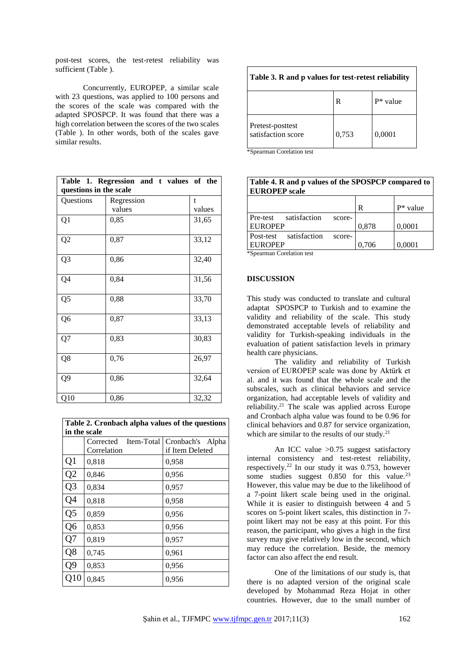post-test scores, the test-retest reliability was sufficient [\(Table \)](#page-3-1).

Concurrently, EUROPEP, a similar scale with 23 questions, was applied to 100 persons and the scores of the scale was compared with the adapted SPOSPCP. It was found that there was a high correlation between the scores of the two scales [\(Table \)](#page-3-2). In other words, both of the scales gave similar results.

<span id="page-3-0"></span>

| Table 1. Regression and t values of the<br>questions in the scale |            |        |  |  |
|-------------------------------------------------------------------|------------|--------|--|--|
| Questions                                                         | Regression | t      |  |  |
|                                                                   | values     | values |  |  |
| Q1                                                                | 0,85       | 31,65  |  |  |
| Q <sub>2</sub>                                                    | 0,87       | 33,12  |  |  |
| Q <sub>3</sub>                                                    | 0,86       | 32,40  |  |  |
| Q4                                                                | 0,84       | 31,56  |  |  |
| Q5                                                                | 0,88       | 33,70  |  |  |
| Q6                                                                | 0,87       | 33,13  |  |  |
| Q7                                                                | 0,83       | 30,83  |  |  |
| Q8                                                                | 0,76       | 26,97  |  |  |
| Q <sub>9</sub>                                                    | 0,86       | 32,64  |  |  |
| Q10                                                               | 0,86       | 32,32  |  |  |

| Table 2. Cronbach alpha values of the questions |                         |                  |  |  |  |
|-------------------------------------------------|-------------------------|------------------|--|--|--|
| in the scale                                    |                         |                  |  |  |  |
|                                                 | Item-Total<br>Corrected | Cronbach's Alpha |  |  |  |
|                                                 | Correlation             | if Item Deleted  |  |  |  |
| Q1                                              | 0,818                   | 0,958            |  |  |  |
| Q <sub>2</sub>                                  | 0,846                   | 0,956            |  |  |  |
| Q <sub>3</sub>                                  | 0,834                   | 0,957            |  |  |  |
| Q4                                              | 0,818                   | 0,958            |  |  |  |
| Q <sub>5</sub>                                  | 0,859                   | 0,956            |  |  |  |
| Q <sub>6</sub>                                  | 0,853                   | 0,956            |  |  |  |
| Q7                                              | 0,819                   | 0,957            |  |  |  |
| Q8                                              | 0,745                   | 0,961            |  |  |  |
| Q9                                              | 0,853                   | 0,956            |  |  |  |
| Q10                                             | 0,845                   | 0,956            |  |  |  |

<span id="page-3-1"></span>

| Table 3. R and p values for test-retest reliability |       |          |  |  |
|-----------------------------------------------------|-------|----------|--|--|
|                                                     | R     | P* value |  |  |
| Pretest-posttest<br>satisfaction score              | 0,753 | 0,0001   |  |  |

\*Spearman Corelation test

<span id="page-3-2"></span>

| Table 4. R and p values of the SPOSPCP compared to<br><b>EUROPEP</b> scale |       |             |  |  |  |
|----------------------------------------------------------------------------|-------|-------------|--|--|--|
|                                                                            | R     | $P^*$ value |  |  |  |
| satisfaction<br>Pre-test<br>score-                                         |       |             |  |  |  |
| <b>EUROPEP</b>                                                             | 0,878 | 0,0001      |  |  |  |
| satisfaction<br>Post-test<br>score-                                        |       |             |  |  |  |
| <b>EUROPEP</b>                                                             | 0,706 | 0,0001      |  |  |  |
| $*$ Snearman Corelation test                                               |       |             |  |  |  |

\*Spearman Corelation test

#### **DISCUSSION**

This study was conducted to translate and cultural adaptat SPOSPCP to Turkish and to examine the validity and reliability of the scale. This study demonstrated acceptable levels of reliability and validity for Turkish-speaking individuals in the evaluation of patient satisfaction levels in primary health care physicians.

The validity and reliability of Turkish version of EUROPEP scale was done by Aktürk et al. and it was found that the whole scale and the subscales, such as clinical behaviors and service organization, had acceptable levels of validity and reliability.<sup>21</sup> The scale was applied across Europe and Cronbach alpha value was found to be 0.96 for clinical behaviors and 0.87 for service organization, which are similar to the results of our study. $21$ 

An ICC value >0.75 suggest satisfactory internal consistency and test-retest reliability, respectively.<sup>22</sup> In our study it was 0.753, however some studies suggest  $0.850$  for this value.<sup>23</sup> However, this value may be due to the likelihood of a 7-point likert scale being used in the original. While it is easier to distinguish between 4 and 5 scores on 5-point likert scales, this distinction in 7 point likert may not be easy at this point. For this reason, the participant, who gives a high in the first survey may give relatively low in the second, which may reduce the correlation. Beside, the memory factor can also affect the end result.

One of the limitations of our study is, that there is no adapted version of the original scale developed by Mohammad Reza Hojat in other countries. However, due to the small number of